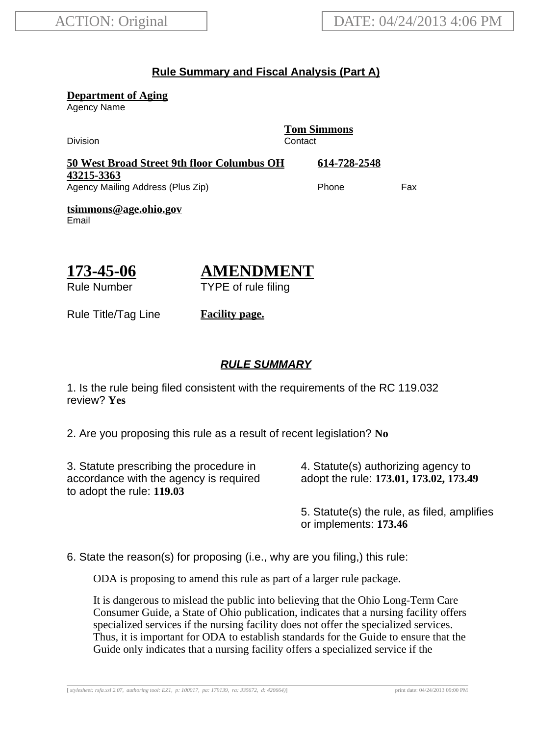## **Rule Summary and Fiscal Analysis (Part A)**

**Department of Aging**

Agency Name

Division Contact

**Tom Simmons**

| 50 West Broad Street 9th floor Columbus OH | 614-728-2548 |     |
|--------------------------------------------|--------------|-----|
| 43215-3363                                 |              |     |
| Agency Mailing Address (Plus Zip)          | Phone        | Fax |

**tsimmons@age.ohio.gov** Email

$$
\frac{173-45-06}{\text{Rule Number}}
$$

# **AMENDMENT**

TYPE of rule filing

Rule Title/Tag Line **Facility page.**

## **RULE SUMMARY**

1. Is the rule being filed consistent with the requirements of the RC 119.032 review? **Yes**

2. Are you proposing this rule as a result of recent legislation? **No**

3. Statute prescribing the procedure in accordance with the agency is required to adopt the rule: **119.03**

4. Statute(s) authorizing agency to adopt the rule: **173.01, 173.02, 173.49**

5. Statute(s) the rule, as filed, amplifies or implements: **173.46**

6. State the reason(s) for proposing (i.e., why are you filing,) this rule:

ODA is proposing to amend this rule as part of a larger rule package.

It is dangerous to mislead the public into believing that the Ohio Long-Term Care Consumer Guide, a State of Ohio publication, indicates that a nursing facility offers specialized services if the nursing facility does not offer the specialized services. Thus, it is important for ODA to establish standards for the Guide to ensure that the Guide only indicates that a nursing facility offers a specialized service if the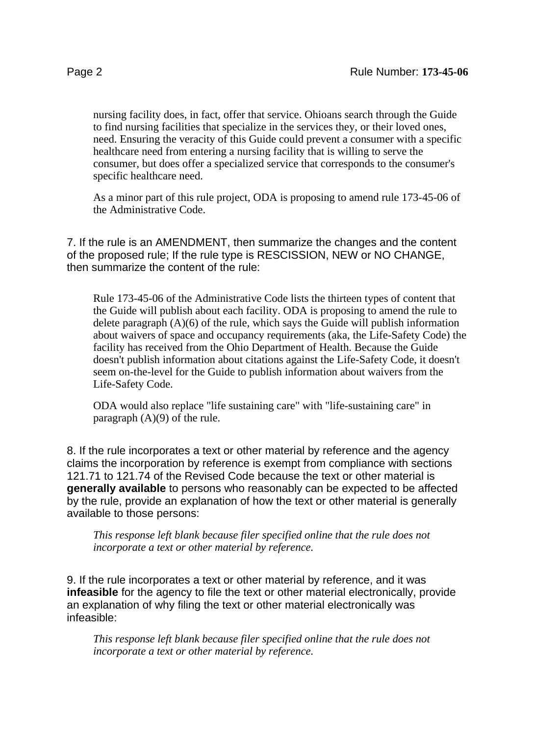nursing facility does, in fact, offer that service. Ohioans search through the Guide to find nursing facilities that specialize in the services they, or their loved ones, need. Ensuring the veracity of this Guide could prevent a consumer with a specific healthcare need from entering a nursing facility that is willing to serve the consumer, but does offer a specialized service that corresponds to the consumer's specific healthcare need.

As a minor part of this rule project, ODA is proposing to amend rule 173-45-06 of the Administrative Code.

7. If the rule is an AMENDMENT, then summarize the changes and the content of the proposed rule; If the rule type is RESCISSION, NEW or NO CHANGE, then summarize the content of the rule:

Rule 173-45-06 of the Administrative Code lists the thirteen types of content that the Guide will publish about each facility. ODA is proposing to amend the rule to delete paragraph  $(A)(6)$  of the rule, which says the Guide will publish information about waivers of space and occupancy requirements (aka, the Life-Safety Code) the facility has received from the Ohio Department of Health. Because the Guide doesn't publish information about citations against the Life-Safety Code, it doesn't seem on-the-level for the Guide to publish information about waivers from the Life-Safety Code.

ODA would also replace "life sustaining care" with "life-sustaining care" in paragraph  $(A)(9)$  of the rule.

8. If the rule incorporates a text or other material by reference and the agency claims the incorporation by reference is exempt from compliance with sections 121.71 to 121.74 of the Revised Code because the text or other material is **generally available** to persons who reasonably can be expected to be affected by the rule, provide an explanation of how the text or other material is generally available to those persons:

*This response left blank because filer specified online that the rule does not incorporate a text or other material by reference.*

9. If the rule incorporates a text or other material by reference, and it was **infeasible** for the agency to file the text or other material electronically, provide an explanation of why filing the text or other material electronically was infeasible:

*This response left blank because filer specified online that the rule does not incorporate a text or other material by reference.*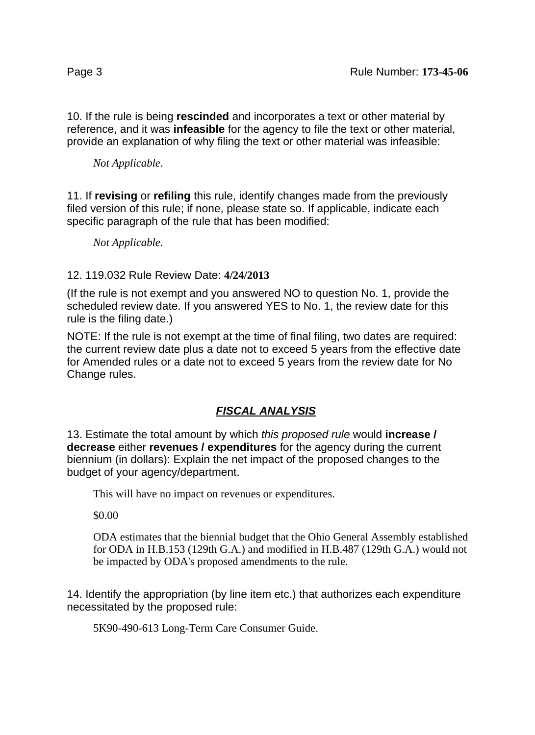10. If the rule is being **rescinded** and incorporates a text or other material by reference, and it was **infeasible** for the agency to file the text or other material, provide an explanation of why filing the text or other material was infeasible:

*Not Applicable.*

11. If **revising** or **refiling** this rule, identify changes made from the previously filed version of this rule; if none, please state so. If applicable, indicate each specific paragraph of the rule that has been modified:

*Not Applicable.*

#### 12. 119.032 Rule Review Date: **4/24/2013**

(If the rule is not exempt and you answered NO to question No. 1, provide the scheduled review date. If you answered YES to No. 1, the review date for this rule is the filing date.)

NOTE: If the rule is not exempt at the time of final filing, two dates are required: the current review date plus a date not to exceed 5 years from the effective date for Amended rules or a date not to exceed 5 years from the review date for No Change rules.

## **FISCAL ANALYSIS**

13. Estimate the total amount by which this proposed rule would **increase / decrease** either **revenues / expenditures** for the agency during the current biennium (in dollars): Explain the net impact of the proposed changes to the budget of your agency/department.

This will have no impact on revenues or expenditures.

\$0.00

ODA estimates that the biennial budget that the Ohio General Assembly established for ODA in H.B.153 (129th G.A.) and modified in H.B.487 (129th G.A.) would not be impacted by ODA's proposed amendments to the rule.

14. Identify the appropriation (by line item etc.) that authorizes each expenditure necessitated by the proposed rule:

5K90-490-613 Long-Term Care Consumer Guide.